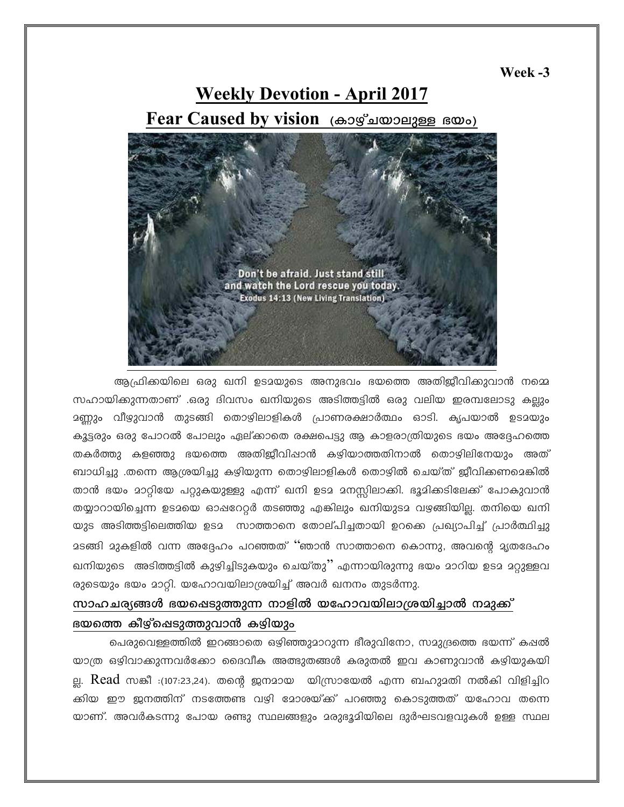Week -3

# **Weekly Devotion - April 2017** Fear Caused by vision (കാഴ്ചയാലുള്ള ഭയം)



ആഫ്രിക്കയിലെ ഒരു ഖനി ഉടമയുടെ അനുഭവം ഭയത്തെ അതിജീവിക്കുവാൻ നമ്മെ സഹായിക്കുന്നതാണ് .ഒരു ദിവസം ഖനിയുടെ അടിത്തട്ടിൽ ഒരു വലിയ ഇരമ്പലോടു കല്ലും <u>ാണ്</u>ണും വീഴുവാൻ തുടങ്ങി തൊഴിലാളികൾ പ്രാണരക്ഷാർത്ഥം ഓടി. കൃപയാൽ ഉടമയും കൂട്ടരും ഒരു പോറൽ പോലും ഏല്ക്കാതെ രക്ഷപെട്ടു ആ കാളരാത്രിയുടെ ഭയം അദ്ദേഹത്തെ തകർത്തു കളഞ്ഞു ഭയത്തെ അതിജീവിഷാൻ കഴിയാത്തതിനാൽ തൊഴിലിനേയും അത് ബാധിച്ചു .തന്നെ ആശ്രയിച്ചു കഴിയുന്ന തൊഴിലാളികൾ തൊഴിൽ ചെയ്ത് ജീവിക്കണമെങ്കിൽ താൻ ഭയം മാറ്റിയേ പറ്റുകയുള്ളു എന്ന് ഖനി ഉടമ മനസ്സിലാക്കി. ഭൂമിക്കടിലേക്ക് പോകുവാൻ തയ്യാറായിച്ചെന്ന ഉടമയെ ഓഷറേറ്റർ തടഞ്ഞു എങ്കിലും ഖനിയുടമ വഴങ്ങിയില്ല. തനിയെ ഖനി യുട അടിത്തട്ടിലെത്തിയ ഉടമ സാത്താനെ തോല്പിച്ചതായി ഉറക്കെ പ്രഖ്യാപിച്ച് പ്രാർത്ഥിച്ചു മടങ്ങി മുകളിൽ വന്ന അദ്ദേഹം പറഞ്ഞത് ''ഞാൻ സാത്താനെ കൊന്നു, അവന്റെ മ്യതദേഹം ഖനിയുടെ അടിത്തട്ടിൽ കുഴിച്ചിടുകയും ചെയ്തു'' എന്നായിരുന്നു ഭയം മാറിയ ഉടമ മറ്റുള്ളവ രുടെയും ഭയം മാറ്റി. യഹോവയിലാശ്രയിച്ച് അവർ ഖനനം തുടർന്നു.

# സാഹചര്യങ്ങൾ ഭയഷെടുത്തുന്ന നാളിൽ യഹോവയിലാശ്രയിച്ചാൽ നമുക്ക് ഭയത്തെ കീഴ്ച്ചെടുത്തുവാൻ കഴ്വിയും

പെരുവെള്ളത്തിൽ ഇറങ്ങാതെ ഒഴിഞ്ഞുമാറുന്ന ഭീരുവിനോ, സമുദ്രത്തെ ഭയന്ന് കഷൽ യാത്ര ഒഴിവാക്കുന്നവർക്കോ ദൈവീക അത്ഭുതങ്ങൾ കരുതൽ ഇവ കാണുവാൻ കഴിയുകയി ല്ല. **Read** സങ്കീ :(107:23,24). തന്റെ ജനമായ യിസ്രായേൽ എന്ന ബഹുമതി നൽകി വിളിച്ചിറ ക്കിയ ഈ ജനത്തിന് നടത്തേണ്ട വഴി മോശയ്ക്ക് പറഞ്ഞു കൊടുത്തത് യഹോവ തന്നെ യാണ്. അവർകടന്നു പോയ രണ്ടു സ്ഥലങ്ങളും മരുഭൂമിയിലെ ദുർഘടവളവുകൾ ഉള്ള സ്ഥല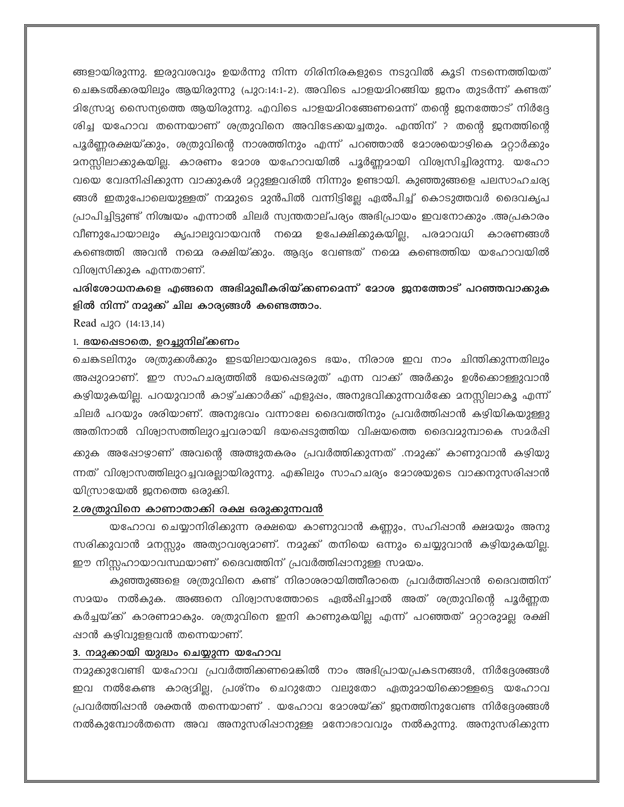ങ്ങളായിരുന്നു. ഇരുവശവും ഉയർന്നു നിന്ന ഗിരിനിരകളുടെ നടുവിൽ കൂടി നടന്നെത്തിയത് ചെങ്കടൽക്കരയിലും ആയിരുന്നു (പുറ:14:1-2). അവിടെ പാളയമിറങ്ങിയ ഇനം തുടർന്ന് കണ്ടത് മിന്രോമ്യ സൈന്യത്തെ ആയിരുന്നു. എവിടെ പാളയമിറങ്ങേണമെന്ന് തന്റെ ജനത്തോട് നിർദ്ദേ ശിച്ച യഹോവ തന്നെയാണ് ശത്രുവിനെ അവിടേക്കയച്ചതും. എന്തിന് ? തന്റെ ജനത്തിന്റെ പൂർണ്ണരക്ഷയ്ക്കും, ശത്രുവിന്റെ നാശത്തിനും എന്ന് പറഞ്ഞാൽ മോശയൊഴികെ മറ്റാർക്കും വയെ വേദനിഷിക്കുന്ന വാക്കുകൾ മറ്റുള്ളവരിൽ നിന്നും ഉണ്ടായി. കുഞ്ഞുങ്ങളെ പലസാഹചര്യ ങ്ങൾ ഇതുപോലെയുള്ളത് നമ്മുടെ മുൻപിൽ വന്നിട്ടില്ലേ ഏൽപിച്ച് കൊടുത്തവർ ദൈവകൃപ പ്രാപിച്ചിട്ടുണ്ട് നിശ്ചയം എന്നാൽ ചിലർ സ്വന്തതാല്പര്യം അഭിപ്രായം ഇവനോക്കും .അപ്രകാരം വീണുപോയാലും കൃപാലുവായവൻ നമ്മെ ഉപേക്ഷിക്കുകയില്ല, പരമാവധി കാരണങ്ങൾ കണ്ടെത്തി അവൻ നമ്മെ രക്ഷിയ്ക്കും. ആദ്യം വേണ്ടത് നമ്മെ കണ്ടെത്തിയ യഹോവയിൽ വിശ്വസിക്കുക എന്നതാണ്.

പരിശോധനകളെ എങ്ങനെ അഭിമുഖീകരിയ്ക്കണമെന്ന് മോശ ജനത്തോട് പറഞ്ഞവാക്കുക ളിൽ നിന്ന് നമുക്ക് ചില കാര്യങ്ങൾ കണ്ടെത്താം.

Read പുറ (14:13,14)

### 1. ഭയഷെടാതെ, ഉറച്ചുനില്ക്കണം

ചെങ്കടലിനും ശത്രുക്കൾക്കും ഇടയിലായവരുടെ ഭയം, നിരാശ ഇവ നാം ചിന്തിക്കുന്നതിലും അഷുറമാണ്. ഈ സാഹചര്യത്തിൽ ഭയപ്പെടരുത് എന്ന വാക്ക് അർക്കും ഉൾകൊള്ളുവാൻ കഴിയുകയില്ല. പറയുവാൻ കാഴ്ചക്കാർക്ക് എളുപ്പം, അനുഭവിക്കുന്നവർക്കേ മനസ്സിലാകൂ എന്ന് ചിലർ പറയും ശരിയാണ്. അനുഭവം വന്നാലേ ദൈവത്തിനും പ്രവർത്തിഷാൻ കഴിയികയുള്ളു അതിനാൽ വിശ്വാസത്തിലുറച്ചവരായി ഭയപ്പെടുത്തിയ വിഷയത്തെ ദൈവമുമ്പാകെ സമർഷി ക്കുക അഷോഴാണ് അവന്റെ അത്ഭുതകരം പ്രവർത്തിക്കുന്നത് .നമുക്ക് കാണുവാൻ കഴിയു ന്നത് വിശ്വാസത്തിലുറച്ചവരല്ലായിരുന്നു. എങ്കിലും സാഹചര്യം മോശയുടെ വാക്കനുസരിഷാൻ യിസ്രായേൽ ജനത്തെ ഒരുക്കി.

#### 2.ശത്രുവിനെ കാണാതാക്കി രക്ഷ ഒരുക്കുന്നവൻ

യഹോവ ചെയ്യാനിരിക്കുന്ന രക്ഷയെ കാണുവാൻ കണ്ണും, സഹിഷാൻ ക്ഷമയും അനു സരിക്കുവാൻ മനസ്സും അത്യാവശ്യമാണ്. നമുക്ക് തനിയെ ഒന്നും ചെയ്യുവാൻ കഴിയുകയില്ല. ഈ നിസ്സഹായാവസ്ഥയാണ് ദൈവത്തിന് പ്രവർത്തിഷാനുള്ള സമയം.

കുഞ്ഞുങ്ങളെ ശത്രുവിനെ കണ്ട് നിരാശരായിത്തീരാതെ പ്രവർത്തിഷാൻ ദൈവത്തിന് സമയം നൽകുക. അങ്ങനെ വിശ്വാസത്തോടെ ഏൽപ്പിച്ചാൽ അത് ശത്രുവിന്റെ പൂർണ്ണത കർച്ചയ്ക്ക് കാരണമാകും. ശത്രുവിനെ ഇനി കാണുകയില്ല എന്ന് പറഞ്ഞത് മറ്റാരുമല്ല രക്ഷി ഷാൻ കഴിവുളളവൻ തന്നെയാണ്.

### 3. നമുക്കായി യുദ്ധം ചെയ്യുന്ന യഹോവ

നമുക്കുവേണ്ടി യഹോവ പ്രവർത്തിക്കണമെങ്കിൽ നാം അഭിപ്രായപ്രകടനങ്ങൾ, നിർദ്ദേശങ്ങൾ ഇവ നൽകേണ്ട കാര്യമില്ല, പ്രശ്നം ചെറുതോ വലുതോ ഏതുമായികൊള്ളട്ടെ യഹോവ പ്രവർത്തിഷാൻ ശക്തൻ തന്നെയാണ് . യഹോവ മോശയ്ക്ക് ഇനത്തിനുവേണ്ട നിർദ്ദേശങ്ങൾ നൽകുമ്പോൾതന്നെ അവ അനുസരിഷാനുള്ള മനോഭാവവും നൽകുന്നു. അനുസരിക്കുന്ന